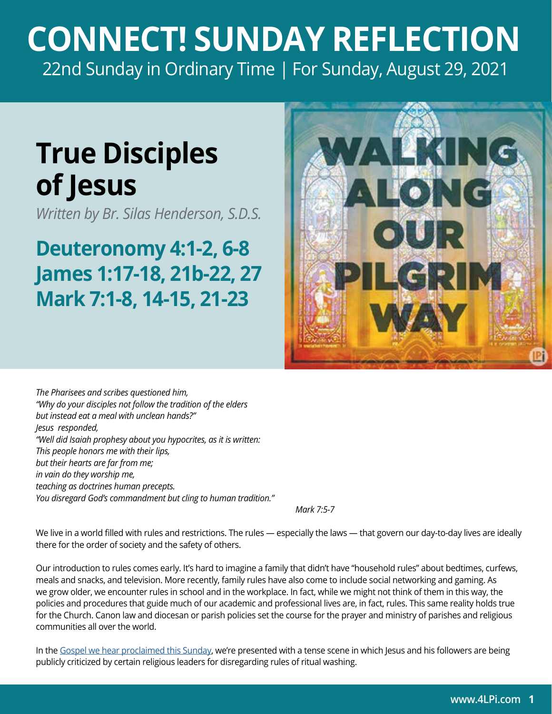## **CONNECT! SUNDAY REFLECTION** [22nd Sunday in Ordinary Time | For Sunday, August 29, 2021](https://bible.usccb.org/bible/readings/082921.cfm)

## **True Disciples of Jesus**

*Written by Br. Silas Henderson, S.D.S.*

## **Deuteronomy 4:1-2, 6-8 James 1:17-18, 21b-22, 27 Mark 7:1-8, 14-15, 21-23**



*The Pharisees and scribes questioned him, "Why do your disciples not follow the tradition of the elders but instead eat a meal with unclean hands?" Jesus responded, "Well did Isaiah prophesy about you hypocrites, as it is written: This people honors me with their lips, but their hearts are far from me; in vain do they worship me, teaching as doctrines human precepts. You disregard God's commandment but cling to human tradition."*

 *Mark 7:5-7* 

We live in a world filled with rules and restrictions. The rules — especially the laws — that govern our day-to-day lives are ideally there for the order of society and the safety of others.

Our introduction to rules comes early. It's hard to imagine a family that didn't have "household rules" about bedtimes, curfews, meals and snacks, and television. More recently, family rules have also come to include social networking and gaming. As we grow older, we encounter rules in school and in the workplace. In fact, while we might not think of them in this way, the policies and procedures that guide much of our academic and professional lives are, in fact, rules. This same reality holds true for the Church. Canon law and diocesan or parish policies set the course for the prayer and ministry of parishes and religious communities all over the world.

In the [Gospel we hear proclaimed this Sunday](https://bible.usccb.org/bible/readings/082921.cfm), we're presented with a tense scene in which Jesus and his followers are being publicly criticized by certain religious leaders for disregarding rules of ritual washing.